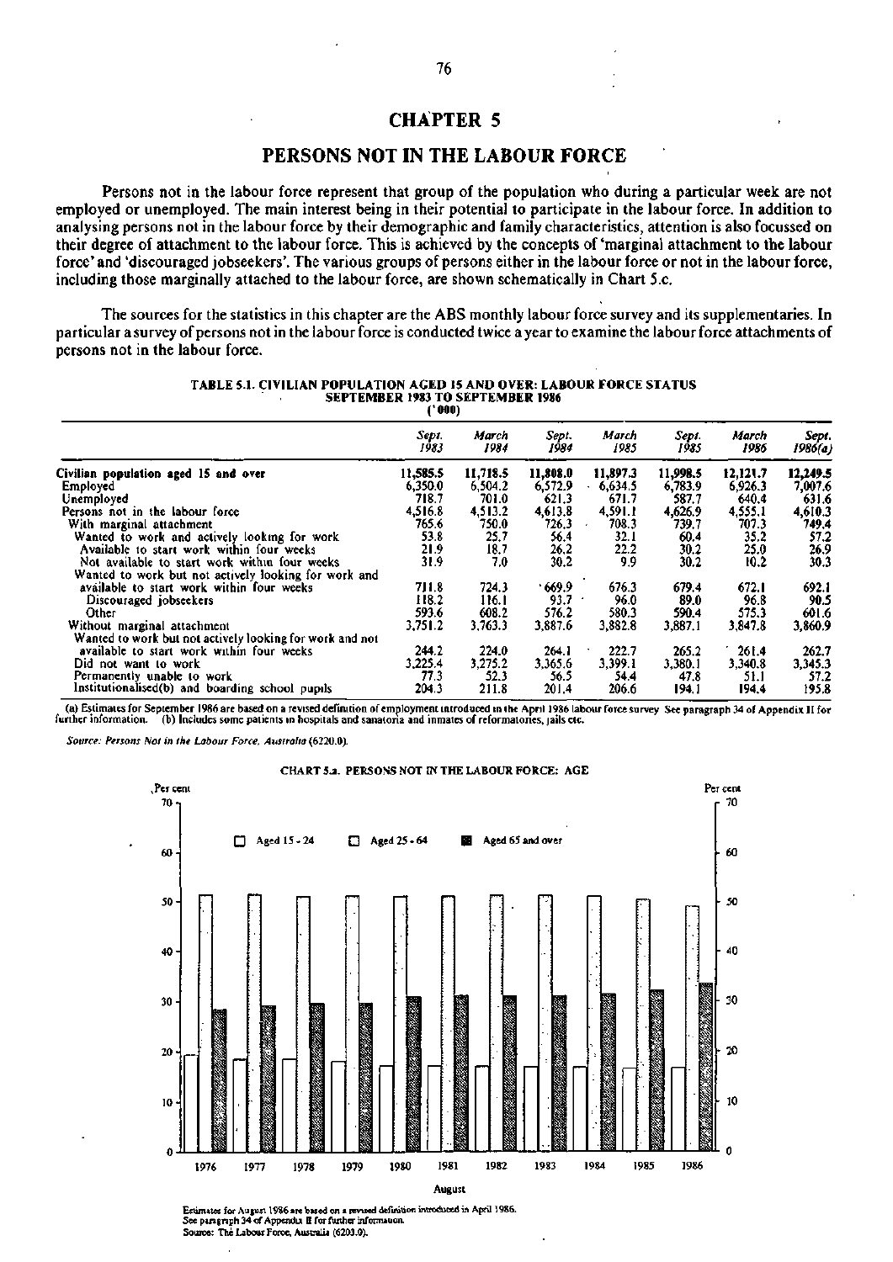# **CHAPTER 5**

## **PERSONS NOT IN THE LABOUR FORCE**

Persons not in the labour force represent that group of the population who during a particular week are not employed or unemployed. The main interest being in their potential to participate in the labour force. In addition to analysing persons not in the labour force by their demographic and family characteristics, attention is also focussed on their degree of attachment to the labour force. This is achieved by the concepts of 'marginal attachment to the labour force' and 'discouraged jobseekers'. The various groups of persons either in the labour force or not in the labour force, including those marginally attached to the labour force, are shown schematically in Chart 5.c.

The sources for the statistics in this chapter are the ABS monthly labour force survey and its supplementaries. In particular a survey of persons not in the labour force is conducted twice a year to examine the labour force attachments of persons not in the labour force.

| TABLE 5.1. CIVILIAN POPULATION AGED 15 AND OVER: LABOUR FORCE STATUS |
|----------------------------------------------------------------------|
| <b>SEPTEMBER 1983 TO SEPTEMBER 1986</b>                              |
| ** 000 ì                                                             |

|                                                          | Sept.<br>1983 | March<br>1984 | Sept.<br>1984 | March<br>1985 | Sept.<br>1985 | March<br>1986 | Sept.<br>1986(a) |
|----------------------------------------------------------|---------------|---------------|---------------|---------------|---------------|---------------|------------------|
| Civilian population aged 15 and over                     | 11,585.5      | 11,718.5      | 11,808.0      | 11,897.3      | 11,998.5      | 12,121.7      | 12,249.5         |
| Employed                                                 | 6,350.0       | 6,504.2       | 6,572.9       | 6,634.5       | 6,783.9       | 6,926.3       | 7,007.6          |
| Unemployed                                               | 718.7         | 701.0         | 621.3         | 671.7         | 587.7         | 640.4         | 631.6            |
| Persons not in the labour force                          | 4.516.8       | 4,513.2       | 4,613.8       | 4.591.1       | 4,626.9       | 4,555.1       | 4,610.3          |
| With marginal attachment                                 | 765.6         | 750.0         | 726.3         | 708.3         | 739.7         | 707.3         | 749,4            |
| Wanted to work and actively looking for work             | 53.8          | 25.7          | 56.4          | 32.1          | 60.4          | 35.2          | 57.2             |
| Available to start work within four weeks                | 21.9          | 18.7          | 26,2          | 22.2          | 30.2          | 25.0          | 26.9             |
| Not available to start work within four weeks            | 31.9          | 7.0           | 30.2          | 9.9           | 30.2          | 10.2          | 30.3             |
| Wanted to work but not actively looking for work and     |               |               |               |               |               |               |                  |
| available to start work within four weeks                | 711.8         | 724.3         | 669.9         | 676.3         | 679.4         | 672.1         | 692.1            |
| Discouraged jobseekers                                   | 118.2         | 116.1         | 93.7          | 96.0          | 89.0          | 96.8          | 90.5             |
| Other                                                    | 593.6         | 608.2         | 576.2         | 580.3         | 590.4         | 575.3         | 601.6            |
| Without marginal attachment                              | 3,751.2       | 3,763.3       | 3,887.6       | 3,882.8       | 3,887.1       | 3,847.8       | 3,860.9          |
| Wanted to work but not actively looking for work and not |               |               |               |               |               |               |                  |
| available to start work within four weeks                | 244.2         | 224.0         | 264.1         | 222.7         | 265.2         | 261.4         | 262.7            |
| Did not want to work                                     | 3,225.4       | 3,275.2       | 3,365.6       | 3.399.1       | 3,380.1       | 3,340.8       | 3,345.3          |
| Permanently unable to work                               | 77.3          | 52.3          | 56.5          | 54.4          | 47.8          | 51.1          | 57.2             |
| Institutionalised(b) and boarding school pupils          | 204.3         | 211.8         | 201.4         | 206.6         | 194.1         | 194.4         | 195.8            |

(a) Estimates for September 1986 are based on a revised definition of employment introduced in the April 1986 labour force survey See paragraph 34 of Appendix II for further information. (b) Includes some patients in hospi further information, (b) Includes some patients in hospitals and sanatona and inmates of reformatories, jails etc.

*Source: Persons Not in the Labour Force, Australia* (6220.0).



CHART 5*a.* PERSONS NOT IN THE LABOUR FORCE: AGE

Estimates for August 1986 arc based on a revised definition introduced in April 1986. See paragraph 34 of Appendix II for further informauon. Source: The Labour Force. Australia (6203.0).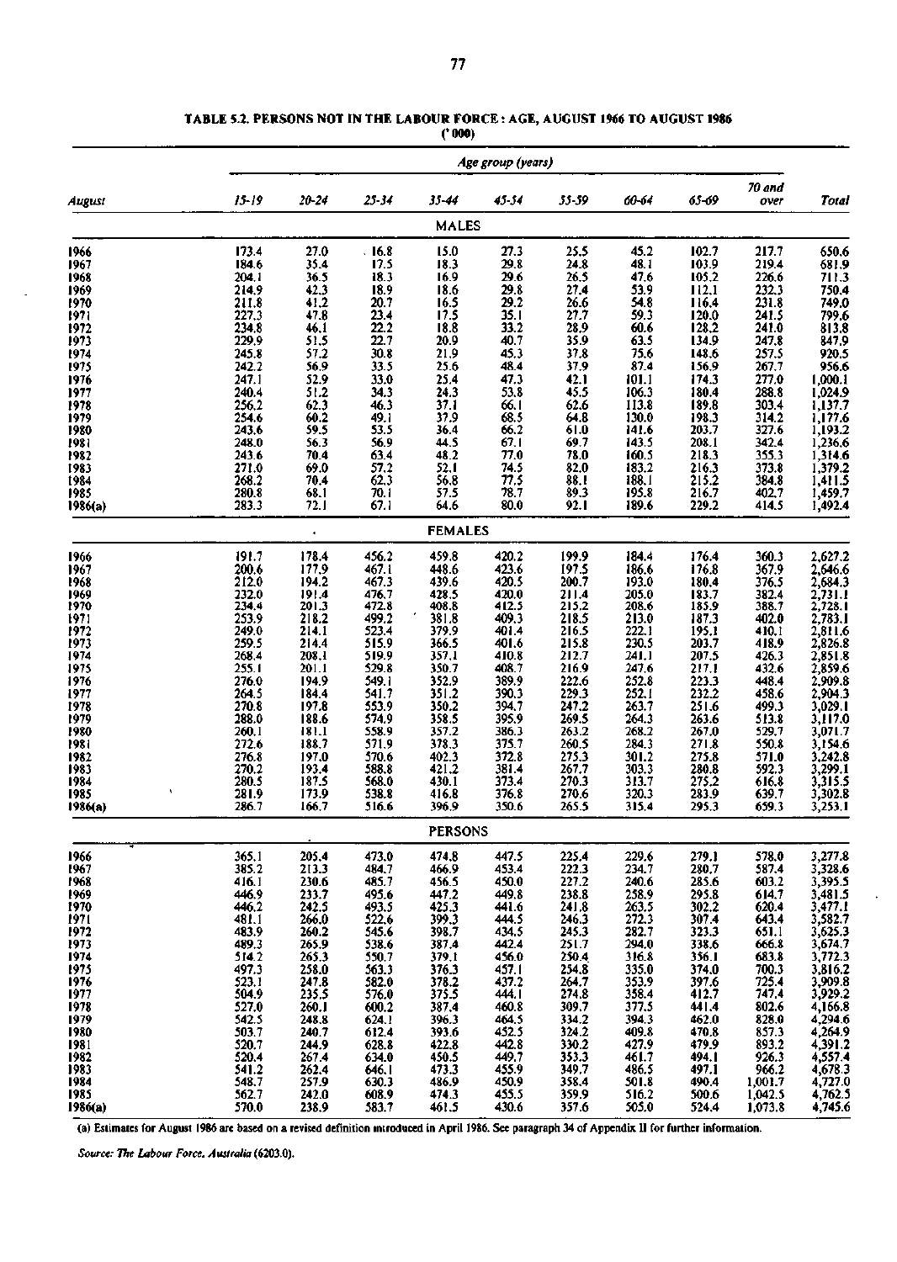|              |                               |                                                                 |                                                             |                                                                                        | Age group (years)          |                         |                  |                                                    |                         |                                                                                                                                                                                       |
|--------------|-------------------------------|-----------------------------------------------------------------|-------------------------------------------------------------|----------------------------------------------------------------------------------------|----------------------------|-------------------------|------------------|----------------------------------------------------|-------------------------|---------------------------------------------------------------------------------------------------------------------------------------------------------------------------------------|
| August       | $15 - 19$                     | 20-24                                                           | 25-34                                                       | 35-44                                                                                  | 45-54                      | 55-59                   | 60-64            | 65-69                                              | 70 and<br>over          | Total                                                                                                                                                                                 |
|              |                               |                                                                 |                                                             | <b>MALES</b>                                                                           |                            |                         |                  |                                                    |                         |                                                                                                                                                                                       |
| 1966         | 173.4                         | 27.0                                                            | .16.8                                                       | 15.0                                                                                   | 27.3                       | 25.5                    | 45.2             | 102.7                                              | 217.7                   | 650.6                                                                                                                                                                                 |
| 1967         | 184.6                         | 35.4                                                            | $\frac{17.5}{18.3}$                                         | 18.3<br>16.9                                                                           | 29.8                       | 24.8                    | 48.1             | 103.9                                              | 219.4                   | 681.9                                                                                                                                                                                 |
| 1968         |                               | 36.5                                                            |                                                             |                                                                                        | 29.6                       | 26.5                    | 47.6             | 105.2                                              | 226.6<br>232.3          |                                                                                                                                                                                       |
| 1969         | 204.1<br>214.9<br>211.8       | 42.3<br>41.2                                                    | $18.9$<br>$20.7$<br>$23.4$<br>$22.2$<br>$22.7$              | 18.6<br>16.5                                                                           | 29.8                       | 27.4                    | 53.9<br>54.8     | 112.1<br>116.4                                     |                         | 711.3<br>750.4<br>749.0                                                                                                                                                               |
| 1970<br>1971 |                               | 47.8                                                            |                                                             | 17.5                                                                                   | $29.2$<br>35.1<br>33.2     | 26.6<br>27.7            | 59.3             |                                                    | $\frac{231.8}{241.5}$   |                                                                                                                                                                                       |
| 1972         | 227.3<br>234.8<br>229.9       |                                                                 |                                                             |                                                                                        |                            | 28.9                    | 60.6             | 120.0                                              | 241.0                   | $799.6$<br>813.8<br>847.9<br>920.5                                                                                                                                                    |
| 1973         |                               | $46.1$<br>51.5<br>57.2                                          |                                                             | $\frac{18.8}{20.9}$                                                                    | 40.7                       | 35.9                    | 63.5             | 134.9                                              | 247.8                   |                                                                                                                                                                                       |
| 1974         | 245.8                         |                                                                 | 30.8                                                        |                                                                                        | 45.3                       | 37.8                    | 75.6             | 148.6                                              | 257.5                   |                                                                                                                                                                                       |
| 1975         | 242.2                         | $56.9$<br>$52.9$<br>$51.2$                                      | 33.5                                                        | $\frac{21.9}{25.6}$                                                                    | 48.4                       | 37.9                    | 87.4             | 156.9                                              | 267.7                   | 956.6                                                                                                                                                                                 |
| 1976         | 247.1                         |                                                                 | $\frac{33.0}{34.3}$                                         | 25.4<br>24.3                                                                           | 47.3                       | 42.1                    | 101.1            | 174.3                                              | 277.0<br>288.8          |                                                                                                                                                                                       |
| 1977         | 240.4                         |                                                                 |                                                             |                                                                                        | 53.8                       | 45.5                    | 106.3            | 180.4                                              |                         |                                                                                                                                                                                       |
| 1978         | 256,2                         | $62.3$<br>$60.2$<br>$59.5$                                      | 46.3                                                        | $\frac{37.1}{37.9}$                                                                    | $66.1$<br>$68.5$<br>$66.2$ | 62.6                    | 113.8            | 189.8                                              | 303.4                   |                                                                                                                                                                                       |
| 1979<br>1980 | 254.6<br>243,6                |                                                                 | 49.1<br>53.5                                                | 36.4                                                                                   |                            | 64.8<br>61.0            | 130.0<br>141.6   | 198.3<br>203.7                                     | 314.2<br>327.6          |                                                                                                                                                                                       |
| 1981         | 248.0                         |                                                                 |                                                             | 44.5                                                                                   | 67.1                       | 69.7                    | 143.5            |                                                    | 342.4                   |                                                                                                                                                                                       |
| 1982         | 243.6                         | $\frac{56.3}{70.4}$                                             | $56.9$<br>$63.4$<br>$57.2$                                  |                                                                                        | 77.0                       | 78.0                    | 160.5            | $\frac{208.1}{218.3}$                              | 355.3                   |                                                                                                                                                                                       |
| 1983         | 271.0                         | 69.0                                                            |                                                             | $\frac{48.2}{52.1}$                                                                    | 74.5                       | 82.0                    | 183.2            | 216.3                                              | 373.8                   |                                                                                                                                                                                       |
| 1984         | 268.2                         | 70.4                                                            | 62.3                                                        | 56.8                                                                                   | 77.5                       | 88.1                    | 188.1            | 215.2                                              | 384.8                   |                                                                                                                                                                                       |
| 1985         | 280.8                         | $68.1$<br>72.1                                                  | 70.1                                                        | 57.5                                                                                   | 78.7                       | 89.3                    | 195.8            | $\frac{216.7}{229.2}$                              | 402.7                   | 1,000.1<br>1,024.9<br>1,137.7<br>1,177.6<br>1,193.2<br>1,236.6<br>1,314.6<br>1,379.2<br>1,411.5<br>1,459.7                                                                            |
| 1986(a)      | 283.3                         |                                                                 | 67.1                                                        | 64.6                                                                                   | 80.0                       | 92.1                    | 189.6            |                                                    | 414.5                   |                                                                                                                                                                                       |
|              |                               | $\bullet$                                                       |                                                             | <b>FEMALES</b>                                                                         |                            |                         |                  |                                                    |                         |                                                                                                                                                                                       |
| 1966         | 191.7                         | 178.4                                                           | 456.2                                                       | 459.8                                                                                  | 420.2                      | 199.9                   | 184.4            | 176.4                                              | 360.3                   | 2,627.2                                                                                                                                                                               |
| 1967         |                               | 177,9                                                           | 467.1                                                       | 448.6                                                                                  | 423.6                      | 197.5                   | 186.6            | 176.8                                              | 367.9                   | 2,646.6                                                                                                                                                                               |
| 1968         | $\frac{200.6}{212.0}$         | 194.2                                                           | 467.3                                                       | 439.6                                                                                  | 420.5                      | 200.7                   | 193.0            | 180.4                                              | 376.5                   |                                                                                                                                                                                       |
| 1969         |                               |                                                                 | 476.7                                                       |                                                                                        | 420.0                      | 211.4                   | 205.0<br>208.6   |                                                    |                         |                                                                                                                                                                                       |
| 1970         | $232.0$<br>$234.4$<br>$253.9$ |                                                                 |                                                             |                                                                                        | $412.5$<br>$409.3$         | $\frac{215.2}{218.5}$   | 213.0            |                                                    | 382.4<br>388.7<br>402.0 |                                                                                                                                                                                       |
| 1971<br>1972 | 249.0                         | $\begin{array}{c} 191.4 \\ 201.3 \\ 218.2 \\ 214.1 \end{array}$ | $472.8$<br>$499.2$<br>$523.4$                               | $428.5$<br>$408.8$<br>$381.8$<br>$379.9$                                               | 401.4                      | 216.5                   | 222.1            | $\frac{183.7}{185.9}$<br>$\frac{187.3}{195.1}$     | 410.1                   |                                                                                                                                                                                       |
| 1973         |                               |                                                                 |                                                             | 366.5                                                                                  | 401.6                      |                         | 230.5            | 203.7<br>207.5<br>217.1<br>223.3<br>232.2<br>251.6 |                         | 2,684.3<br>2,723.1.1.6<br>2,728.1.1.6<br>2,783.1.1.6<br>2,826.8<br>2,835.1.8<br>2,859.6.8<br>2,909.3<br>3,022.9<br>3,024.2.8<br>3,242.8<br>3,322.9<br>3,322.8<br>3,322.8<br>3,154.4.6 |
| 1974         | 259.5<br>268.4<br>255.1       | 214.4<br>208.1<br>201.1                                         | $515.9$<br>$519.9$<br>$529.8$                               |                                                                                        | 410.8                      | 215.8                   | 241.1            |                                                    | 418.9<br>426.3          |                                                                                                                                                                                       |
| 1975         |                               |                                                                 |                                                             |                                                                                        | 408.7                      | 216.9                   | 247.6            |                                                    | 432.6                   |                                                                                                                                                                                       |
| 1976         | $\frac{276.0}{264.5}$         | 194.9<br>184.4<br>197.8                                         |                                                             |                                                                                        | 389.9                      | 222.6<br>229.3<br>247.2 | $252.8$<br>252.1 |                                                    | 448.4                   |                                                                                                                                                                                       |
| 1977         |                               |                                                                 |                                                             |                                                                                        | 390.3                      |                         |                  |                                                    | 458.6                   |                                                                                                                                                                                       |
| 1978         | 270.8                         |                                                                 |                                                             |                                                                                        | 394,7<br>395.9             |                         | 263.7            |                                                    | 499.3                   |                                                                                                                                                                                       |
| 1979<br>1980 | 288.0                         | 188.6<br>181.1                                                  | 549.1<br>549.1<br>553.9<br>574.9<br>558.9<br>570.6<br>588.9 | 357,1<br>350,7<br>352,9<br>351,2<br>350,2<br>358,5<br>357,2<br>378,3<br>378,3<br>402,3 | 386.3                      | 269.5<br>263.2          | 264.3<br>268.2   | 263.6<br>267.0                                     | 513.8<br>529.7          |                                                                                                                                                                                       |
| 1981         | $\frac{260.1}{272.6}$         | 188.7                                                           |                                                             |                                                                                        | 375.7                      | 260.5                   | 284.3            | 271.8                                              | 550.8                   |                                                                                                                                                                                       |
| 1982         | 276.8                         | $\frac{197.0}{193.4}$<br>187.5                                  |                                                             |                                                                                        | 372.8                      | 275.3<br>267.7<br>270.3 | 301.2            | 275.8                                              | 571.0                   |                                                                                                                                                                                       |
| 1983         | 270.2                         |                                                                 | 588.8                                                       |                                                                                        | 381.4                      |                         | 303.3            | 280.8<br>275.2                                     | 592.3                   |                                                                                                                                                                                       |
| 1984         | 280.5                         |                                                                 | 568.0                                                       | 430.1                                                                                  | 373.4                      |                         | 313.7            |                                                    | 616.8                   |                                                                                                                                                                                       |
| 1985         | 281.9                         | 173.9                                                           | 538.8                                                       | 416.8                                                                                  | 376.8                      | 270.6                   | 320.3            | 283.9                                              | 639.7                   |                                                                                                                                                                                       |
| 1986(a)      | 286.7                         | 166.7                                                           | 516.6                                                       | 396.9                                                                                  | 350.6                      | 265.5                   | 315.4            | 295.3                                              | 659.3                   | 3,253.1                                                                                                                                                                               |
|              |                               |                                                                 |                                                             | <b>PERSONS</b>                                                                         |                            |                         |                  |                                                    |                         |                                                                                                                                                                                       |
| 1966         | 365.1                         | 205.4                                                           | 473.0                                                       | 474,8                                                                                  | 447.5                      | 225.4                   | 229.6            | 279.1                                              | 578.0                   | 3,277.8                                                                                                                                                                               |
| 1967         | 385.2                         | 213.3                                                           | 484.7                                                       | 466.9                                                                                  | 453.4                      | 222.3                   | 234.7            | 280.7                                              | 587.4                   | 3,328.6                                                                                                                                                                               |
| 1968<br>1969 | 416.1<br>446.9                | 230.6<br>233.7                                                  | 485.7<br>495.6                                              | 456.5<br>447.2                                                                         | 450.0<br>449.8             | 227.2<br>238.8          | 240.6<br>258.9   | 285.6                                              | 603.2<br>614.7          | 3,395.5                                                                                                                                                                               |
| 1970         | 446.2                         | 242.5                                                           | 493.5                                                       | 425.3                                                                                  | 441.6                      | 241.8                   | 263.5            | 295.8<br>302.2                                     | 620.4                   | $3,481.5$<br>$3,477.1$                                                                                                                                                                |
| 1971         | 481.1                         | 266.0                                                           | 522.6                                                       | 399.3                                                                                  | 444.5                      | 246.3                   | 272.3            | 307.4                                              | 643.4                   | 3,582.7                                                                                                                                                                               |
| 1972         | 483.9                         | 260.2                                                           | 545.6                                                       | 398.7                                                                                  | 434.5                      | 245.3                   | 282.7            | 323.3                                              | 651.1                   | $3,625.3$<br>$3,674.7$                                                                                                                                                                |
| 1973         | 489.3                         | 265.9                                                           | 538.6                                                       | 387.4                                                                                  | 442.4                      | 251.7                   | 294.0            | 338.6                                              | 666.8                   |                                                                                                                                                                                       |
| 1974         | 514.2                         | 265.3                                                           | 550.7<br>563.3                                              | 379.1                                                                                  | 456.0                      | 250.4                   | 316.8            | 356.1                                              | 683.8                   | 3,772.3                                                                                                                                                                               |
| 1975         | 497.3<br>523.1                | 258.0                                                           |                                                             | 376.3                                                                                  | $457.1$<br>$437.2$         | 254.8                   | 335.0            | 374.0                                              | 700.3                   | 3,816.2                                                                                                                                                                               |
| 1976<br>1977 | 504.9                         | 247.8<br>235.5                                                  | 582.0<br>576.0                                              | 378.2<br>375.5                                                                         | 444.I                      | 264.7<br>274.8          | 353.9<br>358.4   | 397.6<br>412.7                                     | 725.4<br>747.4          | 3,909.8<br>3,929.2                                                                                                                                                                    |
| 1978         | 527.0                         | 260.I                                                           | 600.2                                                       | 387.4                                                                                  | 460.8                      | 309.7                   | 377.5            | 441.4                                              | 802.6                   | 4,166.8                                                                                                                                                                               |
| 1979         | 542.5                         | 248.8                                                           | 624.1                                                       | 396.3                                                                                  | 464.5                      | 334.2                   | 394.3            | 462.0                                              | 828.0                   | 4,294.6                                                                                                                                                                               |
| 1980         | 503.7                         | 240.7                                                           | 612.4                                                       | 393.6                                                                                  | 452.5                      | 324.2                   | 409.8            | 470.8                                              | 857.3                   | 4,264.9                                                                                                                                                                               |
| 1981         | 520.7                         | 244.9                                                           | 628.8                                                       | 422.8                                                                                  | 442.8                      | 330.2                   | 427.9            | 479.9                                              | 893.2                   | 4,391.2                                                                                                                                                                               |
| 1982         | 520.4                         | 267.4                                                           | 634.0                                                       | 450.5                                                                                  | 449.7                      | 353.3                   | 461.7            | 494.1                                              | 926.3                   | 4,557.4                                                                                                                                                                               |
| 1983         | 541.2                         | 262.4                                                           | 646. I                                                      | 473.3                                                                                  | 455.9                      | 349.7                   | 486.5            | 497.1                                              | 966.2                   | 4,678.3                                                                                                                                                                               |
| 1984         | 548.7                         | 257.9                                                           | 630.3                                                       | 486.9                                                                                  | 450.9                      | 358.4                   | 501.8            | 490.4                                              | 1,001.7                 | 4,727.0                                                                                                                                                                               |
| 1985         | 562.7                         | 242.0                                                           | 608.9                                                       | 474.3<br>461.5                                                                         | 455.5<br>430.6             | 359.9                   | 516.2            | 500.6                                              | 1,042.5                 | 4,762.5                                                                                                                                                                               |
| 1986(a)      | 570.0                         | 238.9                                                           | 583.7                                                       |                                                                                        |                            | 357.6                   | 505.0            | 524,4                                              | 1,073.8                 | 4,745.6                                                                                                                                                                               |

**TABLE 5.2. PERSONS NOT IN THE LABOUR FORCE : AGE, AUGUST 1966 TO AUGUST 1986 ('000)** 

(a) Estimates for August 1986 are based on a revised definition introduced in April 1986. See paragraph 34 of Appendix II for further information.

*Source: The Labour Force. Australia* (6203.0).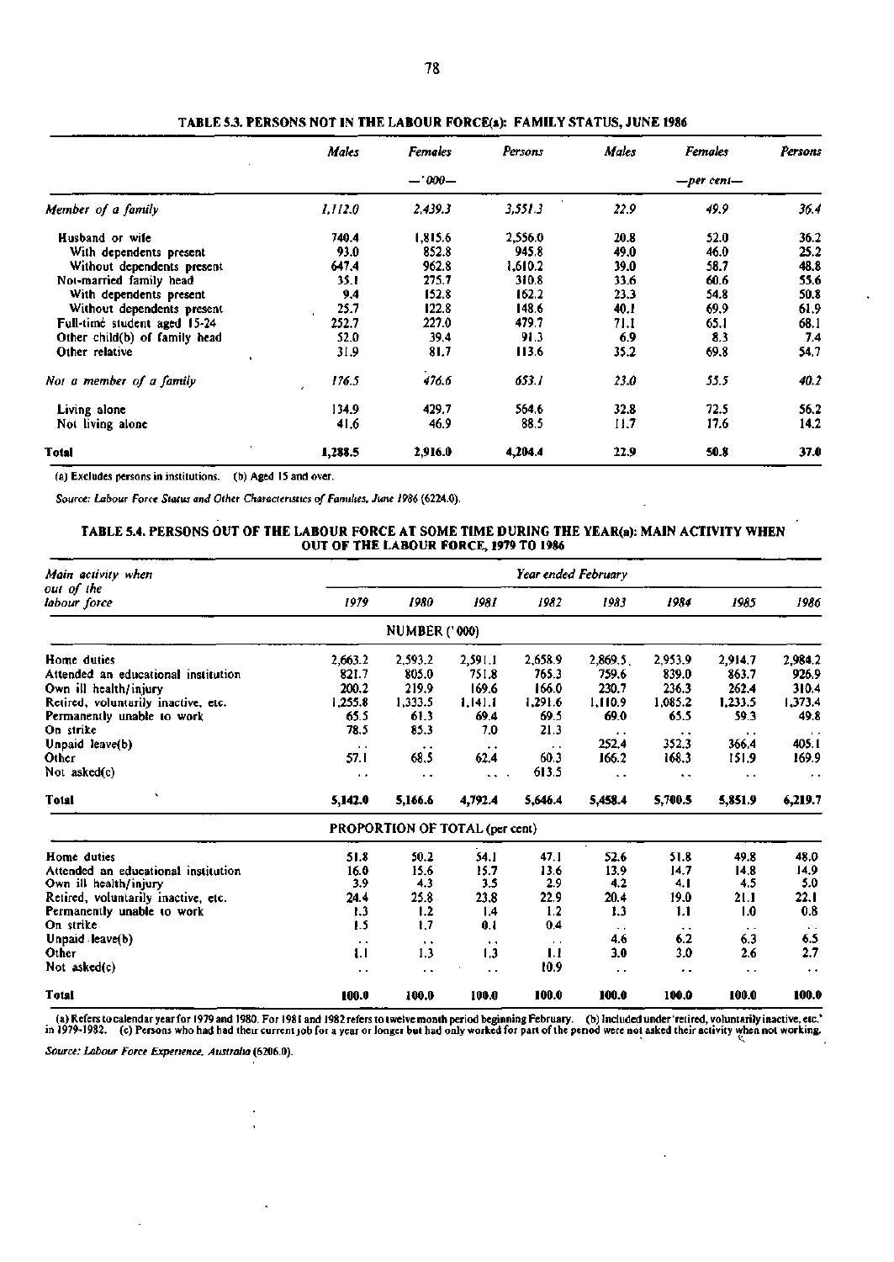|                               | Males   | <b>Females</b> | Persons | Males | <b>Females</b>  | Persons |
|-------------------------------|---------|----------------|---------|-------|-----------------|---------|
|                               |         | $-7000-$       |         |       | $-per$ cent $-$ |         |
| Member of a family            | 1.112.0 | 2.439.3        | 3,551.3 | 22.9  | 49.9            | 36.4    |
| Husband or wife               | 740.4   | 1,815.6        | 2,556.0 | 20.8  | 52.0            | 36.2    |
| With dependents present       | 93.0    | 852.8          | 945.8   | 49.0  | 46.0            | 25.2    |
| Without dependents present    | 647.4   | 962.8          | 1,610.2 | 39.0  | 58.7            | 48.8    |
| Not-married family head       | 35. I   | 275.7          | 310.8   | 33.6  | 60.6            | 55.6    |
| With dependents present       | 9.4     | 152.8          | 162.2   | 23.3  | 54.8            | 50.8    |
| Without dependents present    | 25.7    | 122.8          | 148.6   | 40.I  | 69.9            | 61.9    |
| Full-time student aged 15-24  | 252.7   | 227.0          | 479.7   | 71.I  | 65.1            | 68.1    |
| Other child(b) of family head | 52.0    | 39.4           | 91.3    | 6.9   | 8.3             | 7.4     |
| Other relative                | 31.9    | 81.7           | 113.6   | 35.2  | 69.8            | 54.7    |
| Not a member of a family      | 176.5   | 476.6          | 653.1   | 23.0  | 55.5            | 40.2    |
| Living alone                  | 134.9   | 429.7          | 564.6   | 32.8  | 72.5            | 56.2    |
| Not living alone              | 41.6    | 46.9           | 88.5    | II.7  | 17.6            | 14.2    |
| <b>Total</b>                  | 1,288.5 | 2,916.0        | 4,204.4 | 22.9  | 50.8            | 37.0    |

**TABLE 5.3. PERSONS NOT IN THE LABOUR FORCE(a): FAMILY STATUS, JUNE 1986** 

(a) Excludes persons in institutions, (b) Aged IS and over.

*Source: Labour Force Status and Other Characteristics of Families, June 1986* (6224.0).

### **TABLE 5.4. PERSONS OUT OF THE LABOUR FORCE AT SOME TIME DURING THE YEAR(a): MAIN ACTIVITY WHEN OUT OF THE LABOUR FORCE, 1979 TO 1986**

| Main activity when                  |                      |                                |                      | Year ended February |                       |                      |                      |                      |  |  |  |  |  |
|-------------------------------------|----------------------|--------------------------------|----------------------|---------------------|-----------------------|----------------------|----------------------|----------------------|--|--|--|--|--|
| out of the<br>labour force          | 1979                 | 1980                           | 1981                 | 1982                | 1983                  | 1984                 | 1985                 | 1986                 |  |  |  |  |  |
|                                     |                      | <b>NUMBER ('000)</b>           |                      |                     |                       |                      |                      |                      |  |  |  |  |  |
| Home duties                         | 2,663.2              | 2,593.2                        | 2,591.1              | 2,658.9             | 2,869.5               | 2,953.9              | 2,914.7              | 2,984.2              |  |  |  |  |  |
| Attended an educational institution | 821.7                | 805.0                          | 751.8                | 765.3               | 759.6                 | 839.0                | 863.7                | 926.9                |  |  |  |  |  |
| Own ill health/injury               | 200.2                | 219.9                          | 169.6                | 166.0               | 230.7                 | 236.3                | 262.4                | 310.4                |  |  |  |  |  |
| Retired, voluntarily inactive, etc. | 1,255.8              | 1,333.5                        | 1,141.1              | 1,291.6             | 1,110.9               | 1,085.2              | 1,233.5              | 1,373.4              |  |  |  |  |  |
| Permanently unable to work          | 65.5                 | 61.3                           | 69.4                 | 69.5                | 69.0                  | 65.5                 | 59.3                 | 49.8                 |  |  |  |  |  |
| On strike                           | 78.5                 | 85.3                           | 7.0                  | 21.3                | $\bullet$ +           |                      | $\bullet$ .          | $\cdot$ $\cdot$      |  |  |  |  |  |
| Unpaid leave(b)                     | $\sim$               | $\ddot{\phantom{1}}$           | $\ddot{\phantom{1}}$ | $\cdot$ .           | 252.4                 | 352.3                | 366.4                | 405.1                |  |  |  |  |  |
| Other                               | 57.1                 | 68.5                           | 62.4                 | 60.3                | 166.2                 | 168.3                | 151.9                | 169.9                |  |  |  |  |  |
| Not asked(c)                        | $\cdot$              | $\ddot{\phantom{0}}$           | $\ddot{\phantom{0}}$ | 613.5               | $\ddot{\phantom{1}}$  | $\ddot{\phantom{1}}$ | . .                  | $\ddot{\phantom{1}}$ |  |  |  |  |  |
| <b>Total</b>                        | 5,142.0              | 5,166.6                        | 4,792.4              | 5.646.4             | 5,458.4               | 5,700.5              | 5,851.9              | 6,219.7              |  |  |  |  |  |
|                                     |                      | PROPORTION OF TOTAL (per cent) |                      |                     |                       |                      |                      |                      |  |  |  |  |  |
| Home duties                         | 51.8                 | 50.2                           | 54.1                 | 47.1                | 52.6                  | 51.8                 | 49.8                 | 48.0                 |  |  |  |  |  |
| Attended an educational institution | 16.0                 | 15.6                           | 15.7                 | 13.6                | 13.9                  | 14.7                 | 14.8                 | 14.9                 |  |  |  |  |  |
| Own ill health/injury               | 3.9                  | 4.3                            | 3.5                  | 2.9                 | 4.2                   | 4.1                  | 4.5                  | 5.0                  |  |  |  |  |  |
| Retired, voluntarily inactive, etc. | 24.4                 | 25.8                           | 23.8                 | 22.9                | 20.4                  | 19.0                 | 21.1                 | 22.1                 |  |  |  |  |  |
| Permanently unable to work          | 1.3                  | 1.2                            | 1.4                  | 1,2                 | 1.3                   | 1.1                  | 1.0                  | 0.8                  |  |  |  |  |  |
| On strike                           | 1.5                  | 1.7                            | 0.1                  | 0.4                 | $\bullet$ . $\bullet$ | $\cdots$             | $\ddot{\phantom{1}}$ |                      |  |  |  |  |  |
| Unpaid leave(b)                     | $\ddot{\phantom{0}}$ | $\ddot{\phantom{1}}$           | $\ddot{\phantom{1}}$ | $\sim$              | 4.6                   | 6.2                  | 6.3                  | 6.5                  |  |  |  |  |  |
| Other                               | 1.1                  | 1.3                            | 1.3                  | IJ                  | 3.0                   | 3.0                  | 2.6                  | 2.7                  |  |  |  |  |  |
| Not asked(c)                        | $\cdot$ .            |                                | . .                  | 10.9                | $\ddot{\phantom{0}}$  | $\ddot{\phantom{1}}$ | $\ddot{\phantom{1}}$ | $\ddot{\phantom{1}}$ |  |  |  |  |  |
| <b>Total</b>                        | 100.0                | 100.0                          | 100.0                | 100.0               | 100.0                 | 100.0                | 100.0                | 100.0                |  |  |  |  |  |

a) Refers to calendar year for 1979 and 1980. For 1981 and 1982 refers to twelve month period beginning February. (b) Included under 'retired, voluntarily inactive, etc.'<br>in 1979-1982. (c) Persons who had had their current

*Source: Labour Force Experience, Australia* (6206.0).

l,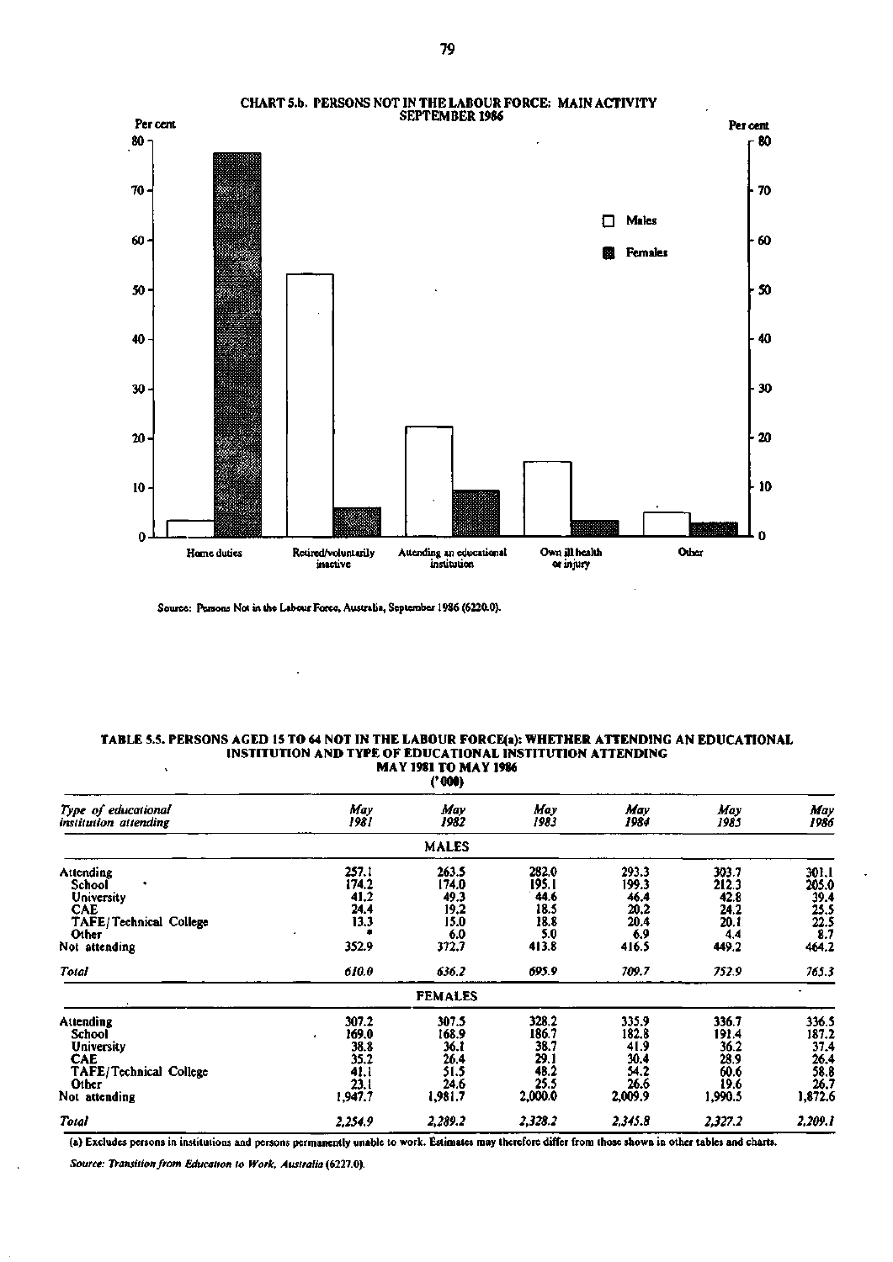

**CHART 5.b. PERSONS NOT IN THE LABOUR FORCE: MAIN ACTIVITY** 

Source: Persons Not in the Labour Force, Australia, September 1986 (6220.0).

#### **TABLE 5.5. PERSONS AGED 15 TO 64 NOT IN THE LABOUR FORCE(a): WHETHER ATTENDING AN EDUCATIONAL INSTITUTION AND TYPE OF EDUCATIONAL INSTITUTION ATTENDING**   $\ddot{\phantom{0}}$ **MAY 1981 TO MAY 1986**

|                                                                                                              |                                                                | ('000)                                                          |                                                                  |                                                                 |                                                                  |                                                                  |
|--------------------------------------------------------------------------------------------------------------|----------------------------------------------------------------|-----------------------------------------------------------------|------------------------------------------------------------------|-----------------------------------------------------------------|------------------------------------------------------------------|------------------------------------------------------------------|
| Type of educational<br>institution attending                                                                 | May<br>1981                                                    | May<br>1982                                                     | May<br>1983                                                      | May<br>1984                                                     | May<br>1985                                                      | May<br>1986                                                      |
|                                                                                                              |                                                                | <b>MALES</b>                                                    |                                                                  |                                                                 |                                                                  |                                                                  |
| Attending<br>School<br>University<br><b>CAE</b><br>TAFE/Technical College<br>Other<br>Not attending<br>Total | 257.1<br>174.2<br>41,2<br>24.4<br>13.3<br>352.9<br>610.0       | 263.5<br>174.0<br>49.3<br>19,2<br>15.0<br>6.0<br>372.7<br>636.2 | 282.0<br>195. I<br>44.6<br>18.5<br>18.8<br>5.0<br>413.8<br>695.9 | 293.3<br>199.3<br>46.4<br>20.2<br>20.4<br>6.9<br>416.5<br>709.7 | 303.7<br>212.3<br>42.8<br>24.2<br>20. I<br>4.4<br>449.2<br>752.9 | 30 I.I<br>205.0<br>39.4<br>25.5<br>22.5<br>8.7<br>464.2<br>765.3 |
|                                                                                                              |                                                                |                                                                 |                                                                  |                                                                 |                                                                  |                                                                  |
|                                                                                                              |                                                                | <b>FEMALES</b>                                                  |                                                                  |                                                                 |                                                                  |                                                                  |
| Attending<br>School<br><b>University</b><br>CAE<br>TAFE/Technical College<br>Other<br>Not attending          | 307.2<br>169.0<br>٠<br>38.8<br>35.2<br>41.1<br>23.1<br>1,947.7 | 307.5<br>168.9<br>36. l<br>26.4<br>51.5<br>24.6<br>1,981.7      | 328,2<br>186.7<br>38.7<br>29.1<br>48.2<br>25.5<br>2,000.0        | 335.9<br>182.8<br>41.9<br>30.4<br>54.2<br>26.6<br>2,009.9       | 336.7<br>191.4<br>36.2<br>28.9<br>60.6<br>19.6<br>1,990.5        | 336.5<br>187.2<br>37.4<br>26.4<br>58.8<br>26.7<br>1,872.6        |
| Total                                                                                                        | 2,254.9                                                        | 2,289.2                                                         | 2,328.2                                                          | 2,345.8                                                         | 2,327.2                                                          | 2,209.1                                                          |

(a) Excludes persons in institutions and persons permanently unable to work. Estimates may therefore differ from those shown in other tables and charts.

*Source: Transition from Education to Work, Australia* **(6227.0).**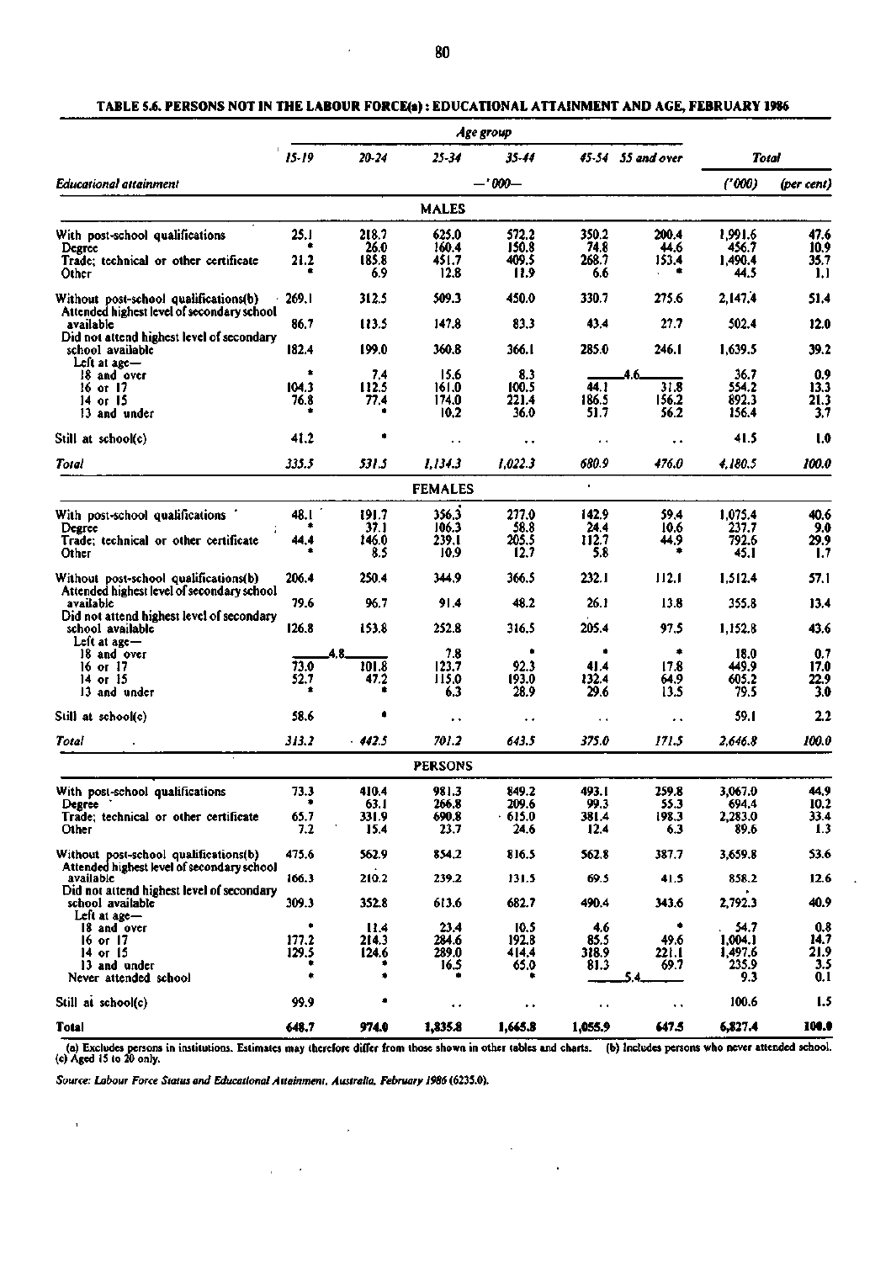$\overline{\phantom{a}}$ 

### **TABLE 5.6. PERSONS NOT IN THE LABOUR FORCE(a): EDUCATIONAL ATTAINMENT AND AGE, FEBRUARY 1986**

|                                                                                     |       |         |                      | Age group            |         |                      |                                                                                                                                                                                                                                                                                                                                                                                                    |                    |
|-------------------------------------------------------------------------------------|-------|---------|----------------------|----------------------|---------|----------------------|----------------------------------------------------------------------------------------------------------------------------------------------------------------------------------------------------------------------------------------------------------------------------------------------------------------------------------------------------------------------------------------------------|--------------------|
|                                                                                     | 15-19 | 20-24   | $25 - 34$            | 35-44                |         | 45-54 55 and over    |                                                                                                                                                                                                                                                                                                                                                                                                    |                    |
| Educational attainment                                                              |       |         |                      | $-0.000 -$           |         |                      | Total<br>(* 000)<br>1,991.6<br>456.7<br>1,490.4<br>44.5<br>2,147.4<br>502.4<br>1,639.5<br>36.7<br>554.2<br>892.3<br>156.4<br>41.5<br>4.180.5<br>1,075.4<br>237.7<br>792.6<br>45.1<br>1,512.4<br>355.8<br>1,152.8<br>18.0<br>449.9<br>605.2<br>79.5<br>59.1<br>2.646.8<br>3,067.0<br>694.4<br>2,283.0<br>89.6<br>3,659.8<br>858.2<br>2,792.3<br>54.7<br>1,004.1<br>1,497.6<br>235.9<br>9.3<br>100.6 | (per cent)         |
|                                                                                     |       |         | <b>MALES</b>         |                      |         |                      |                                                                                                                                                                                                                                                                                                                                                                                                    |                    |
| With post-school qualifications                                                     | 25.I  | 218.7   | 625.0                | 572.2                | 350.2   | 200.4                |                                                                                                                                                                                                                                                                                                                                                                                                    | 47.6               |
| Degree                                                                              |       | 26.0    | 160.4                | 150.8                | 74.8    | 44.6                 |                                                                                                                                                                                                                                                                                                                                                                                                    | 10.9               |
| Trade; technical or other certificate                                               | 21.2  | 185.8   | 451.7                | 409.5                | 268.7   | 153.4                |                                                                                                                                                                                                                                                                                                                                                                                                    | 35.7               |
| Other                                                                               |       | 6.9     | 12.8                 | 11.9                 | 6.6     |                      |                                                                                                                                                                                                                                                                                                                                                                                                    | 1,1                |
| Without post-school qualifications(b)<br>Attended highest level of secondary school | 269.I | 312.5   | 509.3                | 450.0                | 330.7   | 275.6                |                                                                                                                                                                                                                                                                                                                                                                                                    | 51.4               |
| available<br>Did not attend highest level of secondary                              | 86.7  | 113.5   | 147.8                | 83.3                 | 43.4    | 27.7                 |                                                                                                                                                                                                                                                                                                                                                                                                    | 12.0               |
| school available<br>Left at $ace -$                                                 | 182.4 | 199.0   | 360.8                | 366.I                | 285.0   | 246.I                |                                                                                                                                                                                                                                                                                                                                                                                                    | 39.2               |
| 18 and over                                                                         | ۰     | 7.4     | 15.6                 | 8.3                  |         | 4.6.                 |                                                                                                                                                                                                                                                                                                                                                                                                    | 0.9                |
| 16 or 17                                                                            | 104.3 | 112.5   | 161.0                | 100.5                | 44. I   | 31.8                 |                                                                                                                                                                                                                                                                                                                                                                                                    | 13.3               |
| 14 or 15                                                                            | 76.8  | 77.4    | 174.0                | 221.4                | 186.5   | 156.2                |                                                                                                                                                                                                                                                                                                                                                                                                    | 21.3               |
| 13 and under                                                                        |       |         | 10.2                 | 36.0                 | 51.7    | 56.2                 |                                                                                                                                                                                                                                                                                                                                                                                                    | 3.7                |
| Still at school(c)                                                                  | 41.2  |         | . .                  | $\ddot{\phantom{0}}$ | ٠.      | $\ddot{\phantom{1}}$ |                                                                                                                                                                                                                                                                                                                                                                                                    | 1.0                |
| Total                                                                               | 335.5 | 531.5   | 1,134.3              | 1,022.3              | 680.9   | 476.0                |                                                                                                                                                                                                                                                                                                                                                                                                    | 100.0              |
|                                                                                     |       |         | <b>FEMALES</b>       |                      | ٠       |                      |                                                                                                                                                                                                                                                                                                                                                                                                    |                    |
| With post-school qualifications '                                                   | 48.I  | 191.7   | 356.3                | 277.0                | 142.9   | 59.4                 |                                                                                                                                                                                                                                                                                                                                                                                                    | 40.6               |
| Degree                                                                              |       | 37.1    | 106.3                | 58.8                 | 24.4    | 10.6                 |                                                                                                                                                                                                                                                                                                                                                                                                    | 9.0                |
| Trade; technical or other certificate                                               | 44.4  | 146.0   | 239.I                | 205.5                | 112.7   | 44.9                 |                                                                                                                                                                                                                                                                                                                                                                                                    | 29.9               |
| Other                                                                               |       | 8.5     | 10.9                 | 12.7                 | 5.8     | ٠                    |                                                                                                                                                                                                                                                                                                                                                                                                    | 1.7                |
| Without post-school qualifications(b)<br>Attended highest level of secondary school | 206.4 | 250.4   | 344.9                | 366.5                | 232.I   | 112.1                |                                                                                                                                                                                                                                                                                                                                                                                                    | 57.1               |
| available<br>Did not attend highest level of secondary                              | 79.6  | 96.7    | 91.4                 | 48.2                 | 26.1    | 13.8                 |                                                                                                                                                                                                                                                                                                                                                                                                    | 13.4               |
| school available<br>Left at $a$ ge $-$                                              | 126.8 | 153.8   | 252.8                | 316.5                | 205.4   | 97.5                 |                                                                                                                                                                                                                                                                                                                                                                                                    | 43.6               |
| 18 and over                                                                         |       |         | 7.8                  |                      | ۰       | ۰                    |                                                                                                                                                                                                                                                                                                                                                                                                    | 0.7                |
| 16 or 17                                                                            | 73.0  | 101.8   | 123.7                | 92.3                 | 41.4    | 17.8                 |                                                                                                                                                                                                                                                                                                                                                                                                    | 17.0               |
| 14 or $15$                                                                          | 52.7  | 47.2    | 115.0                | 193.0                | 132.4   | 64.9                 |                                                                                                                                                                                                                                                                                                                                                                                                    | 22.9               |
| 13 and under                                                                        |       |         | 6.3                  | 28.9                 | 29.6    | 13.5                 |                                                                                                                                                                                                                                                                                                                                                                                                    | 3.0                |
| Still at school(c)                                                                  | 58.6  |         | $\ddot{\phantom{1}}$ | $\ddot{\phantom{0}}$ | ٠.      | . .                  |                                                                                                                                                                                                                                                                                                                                                                                                    | 2.2                |
| Total                                                                               | 313.2 | - 442.5 | 701.2                | 643.5                | 375.0   | 171.5                |                                                                                                                                                                                                                                                                                                                                                                                                    | 100.0              |
|                                                                                     |       |         | <b>PERSONS</b>       |                      |         |                      |                                                                                                                                                                                                                                                                                                                                                                                                    |                    |
| With post-school qualifications                                                     | 73.3  | 410.4   | 981.3                | 849.2                | 493.1   | 259.8                |                                                                                                                                                                                                                                                                                                                                                                                                    | 44,9               |
| Degree                                                                              |       | 63.1    | 266.8                | 209.6                | 99.3    | 55.3                 |                                                                                                                                                                                                                                                                                                                                                                                                    | 10.2               |
| Trade; technical or other certificate                                               | 65.7  | 331.9   | 690.8                | 615.0                | 381.4   | 198.3                |                                                                                                                                                                                                                                                                                                                                                                                                    | 33.4               |
| Other                                                                               | 7.2   | 15.4    | 23.7                 | 24.6                 | 12.4    | 6.3                  |                                                                                                                                                                                                                                                                                                                                                                                                    | 1.3                |
| Without post-school qualifications(b)<br>Attended highest level of secondary school | 475.6 | 562.9   | 854.2                | 816.5                | 562.8   | 387.7                |                                                                                                                                                                                                                                                                                                                                                                                                    | 53.6               |
| available                                                                           | 166.3 | 210.2   | 239.2                | 131.5                | 69.5    | 41.5                 |                                                                                                                                                                                                                                                                                                                                                                                                    | 12.6               |
| Did not attend highest level of secondary<br>school available<br>Left at age-       | 309.3 | 352.8   | 613.6                | 682.7                | 490.4   | 343.6                |                                                                                                                                                                                                                                                                                                                                                                                                    | 40.9               |
| 18 and over                                                                         |       | 11.4    | 23.4                 | 10.5                 | 4.6     |                      |                                                                                                                                                                                                                                                                                                                                                                                                    | $\frac{0.8}{14.7}$ |
| 16 or 17                                                                            | 177.2 | 214.3   | 284.6                | 192.8                | 85.5    | 49.6                 |                                                                                                                                                                                                                                                                                                                                                                                                    |                    |
| 14 or 15                                                                            | 129.5 | 124.6   | 289.0                | 414.4                | 318.9   | 22 î.H               |                                                                                                                                                                                                                                                                                                                                                                                                    | 21.9               |
| 13 and under                                                                        |       |         | 16.5                 | 65.0                 | 81.3    | 69.7                 |                                                                                                                                                                                                                                                                                                                                                                                                    | 3.5                |
| Never attended school                                                               | ٠     | ۰       |                      |                      |         |                      |                                                                                                                                                                                                                                                                                                                                                                                                    | 0.1                |
| Still at school(c)                                                                  | 99.9  | ٠       | $\ddot{\phantom{0}}$ | $\ddot{\phantom{1}}$ | ٠,      | ۰.                   |                                                                                                                                                                                                                                                                                                                                                                                                    | 1.5                |
| Total                                                                               | 648.7 | 974.0   | 1,835.8              | 1,665.8              | 1,055.9 | 647.5                | 6,827.4                                                                                                                                                                                                                                                                                                                                                                                            | 100.0              |

(a) Excludes persons in institutions. Estimates may therefore differ from those shown in other tables and charts. (b) Includes persons who never attended school.<br>(c) Aged 15 to 20 only.

 $\mathcal{L}_{\mathcal{A}}$ 

 $\hat{\mathbf{r}}$ 

*Source: Labour Force Status and Educational Attainment, Australia, February 1986* (6235.0).

 $\sqrt{1-\lambda}$  .

 $\sim 10^7$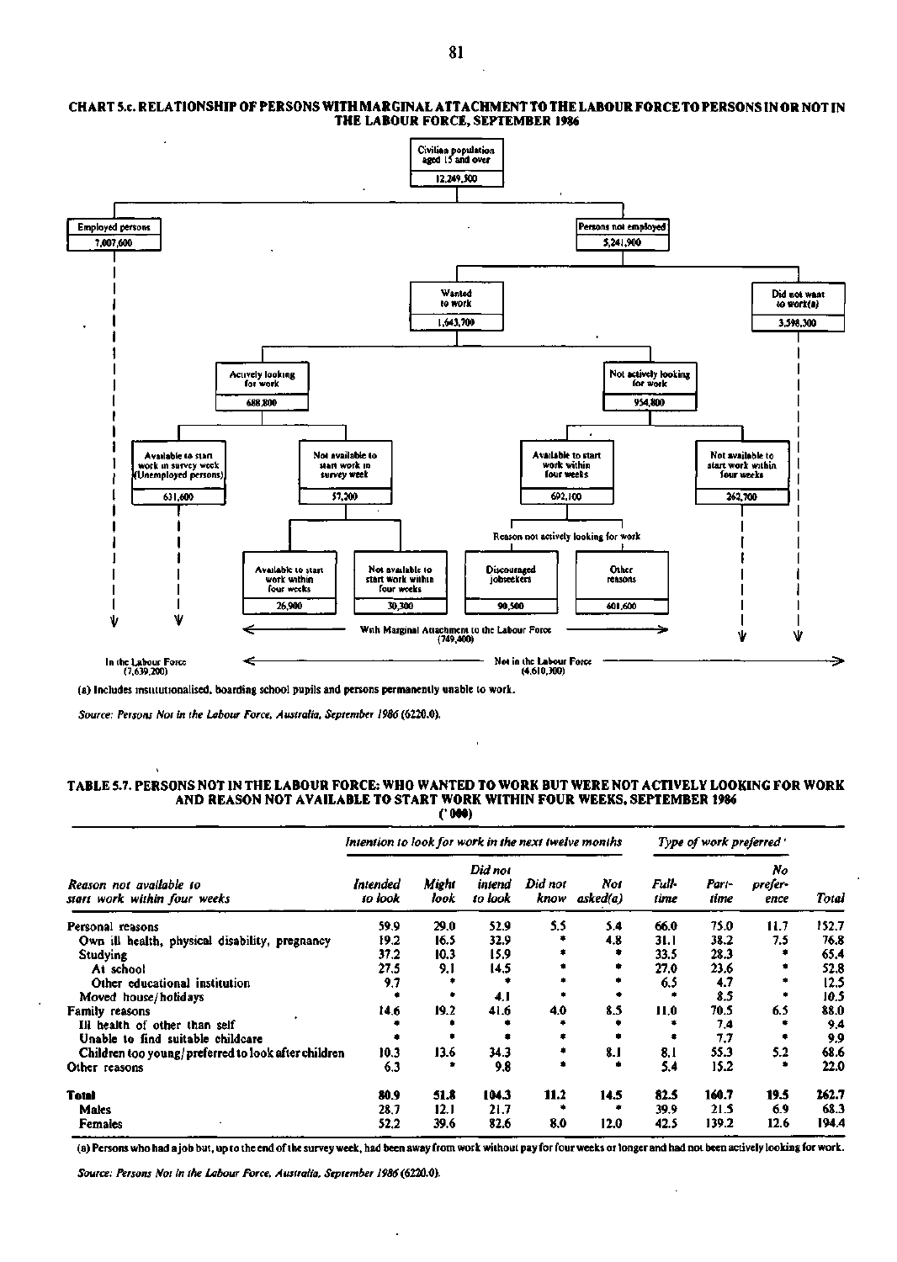### **CHART 5.c. RELATIONSHIP OF PERSONS WITH MARGINAL ATTACHMENT TO THE LABOUR FORCE TO PERSONS IN OR NOT IN THE LABOUR FORCE, SEPTEMBER 1986**



**(a) Includes institutionalised, boarding school pupils and persons permanently unable to work.** 

*Source: Persons Not in the Labour Force, Australia, September 1986* **(6220.0).** 

 $\ddot{\phantom{0}}$ 

## **TABLE 5.7. PERSONS NOT IN THE LABOUR FORCE: WHO WANTED TO WORK BUT WERE NOT ACTIVELY LOOKING FOR WORK AND REASON NOT AVAILABLE TO START WORK WITHIN FOUR WEEKS, SEPTEMBER 1986**

**('000)** 

|                                                                                                                                                                                                                                                                    | Intention to look for work in the next twelve months |               |                              |                 |                 | Type of work preferred " |               |                       |       |
|--------------------------------------------------------------------------------------------------------------------------------------------------------------------------------------------------------------------------------------------------------------------|------------------------------------------------------|---------------|------------------------------|-----------------|-----------------|--------------------------|---------------|-----------------------|-------|
| Reason not available to<br>start work within four weeks<br>Personal reasons<br>Own ill health, physical disability, pregnancy<br>Studying<br>At school<br>Other educational institution<br>Moved house/holidays<br>Family reasons<br>Ill bealth of other than self | Intended<br>to look                                  | Might<br>look | Did not<br>intend<br>to look | Did not<br>know | Noi<br>asked(a) | Full-<br>time            | Part-<br>time | No<br>prefer-<br>ence | Total |
|                                                                                                                                                                                                                                                                    | 59.9                                                 | 29.0          | 52.9                         | 5.5             | 5.4             | 66.0                     | 75.0          | 11.7                  | 152.7 |
|                                                                                                                                                                                                                                                                    | 19.2                                                 | 16.5          | 32.9                         |                 | 4.8             | 31.1                     | 38.2          | 7.5                   | 76.8  |
|                                                                                                                                                                                                                                                                    | 37.2                                                 | 10.3          | 15.9                         |                 |                 | 33.5                     | 28.3          |                       | 65.4  |
|                                                                                                                                                                                                                                                                    | 27.5                                                 | 9,1           | 14.5                         |                 |                 | 27.0                     | 23.6          |                       | 52.8  |
|                                                                                                                                                                                                                                                                    | 9.7                                                  |               |                              |                 |                 | 6.5                      | 4.7           |                       | 12.5  |
|                                                                                                                                                                                                                                                                    |                                                      |               | 4. I                         |                 |                 |                          | 8.5           |                       | 10.5  |
|                                                                                                                                                                                                                                                                    | 14.6                                                 | 19.2          | 41.6                         | 4.0             | 8.5             | 11,0                     | 70.5          | 6.5                   | 88.0  |
|                                                                                                                                                                                                                                                                    |                                                      |               |                              |                 |                 |                          | 7.4           |                       | 9.4   |
| Unable to find suitable childcare                                                                                                                                                                                                                                  |                                                      |               |                              |                 |                 |                          | 7.7           |                       | 9.9   |
| Children too young/preferred to look after children                                                                                                                                                                                                                | 10.3                                                 | 13.6          | 34.3                         |                 | 8. I            | 8.1                      | 55.3          | 5.2                   | 68.6  |
| Other reasons                                                                                                                                                                                                                                                      | 6.3                                                  |               | 9.8                          | ٠               |                 | 5.4                      | 15.2          | ۰                     | 22.0  |
| <b>Total</b>                                                                                                                                                                                                                                                       | 80.9                                                 | 51.8          | 104.3                        | 11.2            | 14.5            | 82.5                     | 160.7         | 19.5                  | 262.7 |
| Males                                                                                                                                                                                                                                                              | 28.7                                                 | 12.1          | 21.7                         | ٠               |                 | 39.9                     | 21.5          | 6.9                   | 68.3  |
| <b>Females</b>                                                                                                                                                                                                                                                     | 52.2                                                 | 39.6          | 82.6                         | 8.0             | 12.0            | 42.5                     | 139.2         | 12.6                  | 194.4 |

**(a) Persons who had a job but, up to the end of the survey week, had been away from work without pay for four weeks or longer and had not been actively looking for work.** 

*Source: Persons Not in the Labour Force, Australia, September 1986* **(6220.0).**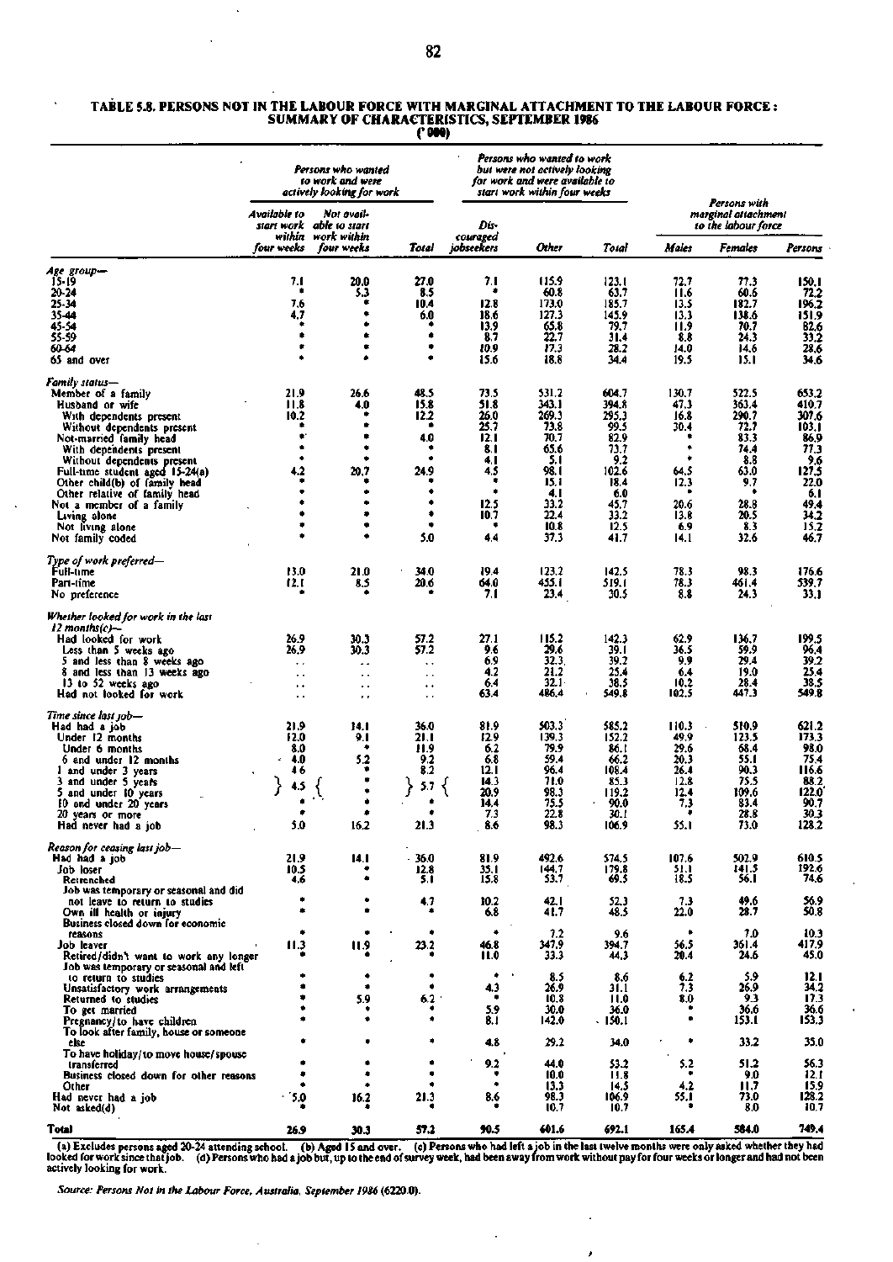#### **TABLE 5.8. PERSONS NOT IN THE LABOUR FORCE WITH MARGINAL ATTACHMENT TO THE LABOUR FORCE : SUMMARY OF CHARACTERISTICS, SEPTEMBER 1986 ('000)**

|                                                                                  |                                              | Persons who wanted<br>to work and were<br>actively looking for work |                            |                  | Persons who wanted to work<br>but were not actively looking<br>for work and were available to<br>start work within four weeks<br>Persons with |                |               |                                            |                     |
|----------------------------------------------------------------------------------|----------------------------------------------|---------------------------------------------------------------------|----------------------------|------------------|-----------------------------------------------------------------------------------------------------------------------------------------------|----------------|---------------|--------------------------------------------|---------------------|
|                                                                                  | Available to<br>start work<br>within         | Not avail-<br>able to start<br>work within                          |                            | Dis-<br>couraged |                                                                                                                                               |                |               | marginal attachment<br>to the labour force |                     |
|                                                                                  | four weeks                                   | four weeks                                                          | Total                      | iobseekers       | Other                                                                                                                                         | Total          | Males         | Females                                    | Persons             |
| Age group—<br>15-19                                                              | 7.1                                          | 20.0                                                                | 27.0                       | 7.1              | 115.9                                                                                                                                         | 123.1          | 72.7          | 77.3                                       | 150,1               |
| 20-24                                                                            | ٠                                            | 5.3                                                                 | 8.5                        | ۰                | 60.8                                                                                                                                          | 63.7           | 11.6          | 60.6                                       | 72.2                |
| 25-34<br>35-44                                                                   | 7.6<br>4.7                                   | ۰<br>٠                                                              | 10.4<br>6.0                | 12.8<br>18.6     | 173.0<br>127.3                                                                                                                                | 185.7<br>145.9 | 13.5<br>13.3  | 182.7<br>138.6                             | 196.2<br>151,9      |
| 45-54                                                                            |                                              | ٠                                                                   |                            | 13.9             | 65.8                                                                                                                                          | 79,7           | 11.9          | 70.7                                       | 62.6                |
| 55-59                                                                            |                                              | ۰<br>٠                                                              | ۰<br>۰                     | 8.7              | 22.7                                                                                                                                          | 31.4           | 8.8           | 24.3                                       | 33,2                |
| 60-64<br>65 and over                                                             |                                              | ٠                                                                   | ٠                          | 10.9<br>15.6     | 17.3<br>18.8                                                                                                                                  | 28.2<br>34.4   | 14.0<br>19.5  | 14.6<br>15.1                               | 28.6<br>34.6        |
| Family status—                                                                   |                                              |                                                                     |                            |                  |                                                                                                                                               |                |               |                                            |                     |
| Member of a family                                                               | 21.9<br>11.8                                 | 26.6                                                                | 48.5<br>15.8               | 73.5<br>51.8     | 531.2<br>343.1                                                                                                                                | 604.7<br>394.8 | 130.7<br>47.3 | 522.5<br>363.4                             | 653.2<br>410.7      |
| Husband or wife<br>With dependents present                                       | 10.2                                         | 4.0                                                                 | 12.2                       | 26.0             | 269.3                                                                                                                                         | 295.3          | 16.8          | 290.7                                      | 307.6               |
| Without dependents present                                                       |                                              |                                                                     | ٠                          | 25.7             | 73.8                                                                                                                                          | 99.5           | 30.4          | 72.7                                       | 103.1               |
| Not-married family head<br>With dependents present                               |                                              | ٠                                                                   | 4.0<br>۰                   | 12.1<br>8. I     | 70.7<br>65.6                                                                                                                                  | 82.9<br>73.7   |               | 83.3<br>74.4                               | 86,9<br>77,3        |
| Without dependents present                                                       |                                              | ۰                                                                   | $\bullet$                  | 4. I             | 5.1                                                                                                                                           | 9.2            |               | 8.8                                        | 9.6                 |
| Full-time student aged 15-24(a)                                                  | 4.2                                          | 20,7                                                                | 24.9                       | 4,5<br>۰         | 98. I                                                                                                                                         | 102.6          | 64.5          | 63.0                                       | 127.5               |
| Other child(b) of family head<br>Other relative of family head                   |                                              | ٠                                                                   | ٠                          | ٠                | 15,1<br>4. I                                                                                                                                  | 18.4<br>6.0    | 12.3          | 9.7<br>٠                                   | 22.0<br>6.1         |
| Not a member of a family                                                         |                                              | ٠                                                                   | ٠                          | 12.5             | 33.2                                                                                                                                          | 45,7           | 20.6          | 28.8                                       | 49.4                |
| Living alone                                                                     |                                              | ۰<br>۰                                                              | ۰<br>۰                     | 10.7<br>٠        | 22.4                                                                                                                                          | 33.2           | 13.8          | 20.5                                       | 34.2                |
| Not living alone<br>Not family coded                                             |                                              | ٠                                                                   | 5.0                        | 4.4              | 10.8<br>37.3                                                                                                                                  | 12.5<br>41.7   | 6.9<br>14.1   | 8.3<br>32.6                                | 15.2<br>46.7        |
| Type of work preferred—                                                          |                                              |                                                                     |                            |                  |                                                                                                                                               |                |               |                                            |                     |
| Full-time                                                                        | 13.0                                         | 21.0                                                                | 34.0                       | 19.4             | 123.2                                                                                                                                         | 142.5          | 78.3          | 98.3                                       | 176.6               |
| Part-time<br>No preference                                                       | 12. I                                        | 8.5                                                                 | 20.6                       | 64.0<br>7.1      | 455.1<br>23.4                                                                                                                                 | 519.1<br>30.5  | 78.3<br>8.8   | 461.4<br>24.3                              | 539,7<br>33.1       |
| Whether looked for work in the last                                              |                                              |                                                                     |                            |                  |                                                                                                                                               |                |               |                                            |                     |
| 12 months(c)-                                                                    |                                              |                                                                     |                            |                  |                                                                                                                                               |                |               |                                            |                     |
| Had looked for work                                                              | 26.9<br>26.9                                 | 30.3<br>30.3                                                        | 57.2<br>57.2               | 27.1<br>9.6      | 115.2<br>29.6                                                                                                                                 | 142.3<br>39.1  | 62.9<br>36.5  | 136.7<br>59.9                              | 199.5<br>96.4       |
| Less than 5 weeks ago<br>5 and less than 8 weeks ago                             | $\ddot{\phantom{0}}$                         | ٠.                                                                  | $\ddot{\phantom{1}}$       | 6.9              | 32.3                                                                                                                                          | 39.2           | 9.9           | 29.4                                       | 39.2                |
| 8 and less than 13 weeks ago                                                     | $\ddot{\phantom{0}}$                         | $\ddotsc$                                                           | $\cdot$ .                  | 4.2              | 21.2                                                                                                                                          | 25.4           | 6.4           | 19.0                                       | 25.4                |
| 13 to 52 weeks ago<br>Had not looked for work                                    | $\ddot{\phantom{1}}$<br>$\ddot{\phantom{0}}$ | $\ddot{\phantom{0}}$<br>$\sim$                                      | ٠.<br>$\ddot{\phantom{0}}$ | 6.4<br>63.4      | 32.1 <sub>2</sub><br>486.4                                                                                                                    | 38.5<br>549.8  | 10.2<br>102.5 | 28.4<br>447.3                              | 38.5<br>549.8       |
| Time since last job—                                                             |                                              |                                                                     |                            |                  |                                                                                                                                               |                |               |                                            |                     |
| Had had a job                                                                    | 21.9                                         | 14. I                                                               | 36.0                       | 81.9             | 503.3                                                                                                                                         | 585.2          | 110.3         | 510.9                                      | 621.2               |
| Under 12 months<br>Under 6 months                                                | 12.0<br>8.0                                  | 9. I                                                                | 21.1<br>11.9               | 12.9<br>6.2      | 139.3<br>79.9                                                                                                                                 | 152.2<br>86.I  | 49.9<br>29.6  | 123.5<br>68.4                              | 173,3<br>98.0       |
| 6 and under 12 months                                                            | 4.0<br>ż                                     | 5.2                                                                 | 9.2                        | 6.8              | 59.4                                                                                                                                          | 66.2           | 20.3          | 55.1                                       | 75.4                |
| I and under 3 years                                                              | 46                                           |                                                                     | 8.2                        | 12. I            | 96.4                                                                                                                                          | 108.4          | 26.4          | 90.3                                       | 116.6               |
| 3 and under 5 years<br>5 and under 10 years                                      | 4.5                                          |                                                                     | 5.7                        | 14.3<br>20.9     | 71.0<br>98.3                                                                                                                                  | 85.3<br>119.2  | 12.8<br>12.4  | 75.5<br>109.6                              | 88.2<br>122.0       |
| 10 and under 20 years                                                            |                                              |                                                                     |                            | 14.4             | 75.5                                                                                                                                          | 90.0           | 7,3           | 83.4                                       | 90.7                |
| 20 years or more<br>Had never had a job                                          | 5.0                                          | 16.2                                                                | 21.3                       | 7.3<br>8.6       | 22.8<br>98.3                                                                                                                                  | 30.I<br>106.9  | 55.I          | 28.8<br>73.0                               | 30.3<br>128.2       |
| Reason for ceasing last job—                                                     |                                              |                                                                     |                            |                  |                                                                                                                                               |                |               |                                            |                     |
| Had had a job                                                                    | 21.9                                         | 14. I                                                               | 36.0                       | 81.9             | 492.6                                                                                                                                         | 574.5          | 107.6         | 502.9                                      | 610.5               |
| Job loser<br>Retrenched                                                          | 10.5<br>4,6                                  |                                                                     | 12.8<br>5.1                | 35. I<br>15.8    | 144.7<br>53.7                                                                                                                                 | 179.8<br>69.5  | 51.I<br>18.5  | 141.5<br>56. I                             | 192,6<br>74.6       |
| Job was temporary or seasonal and did                                            |                                              |                                                                     |                            |                  |                                                                                                                                               |                |               |                                            |                     |
| not leave to return to studies                                                   | ۰                                            | ٠                                                                   | 4,7                        | 10.2             | 42. I                                                                                                                                         | 52,3           | 7.3           | 49.6                                       | 56.9                |
| Own ill health or injury<br>Business closed down for economic                    |                                              |                                                                     |                            | 6.8              | 41.7                                                                                                                                          | 48.5           | 22.0          | 28.7                                       | 50.8                |
| reasons                                                                          | ۰                                            | ۰                                                                   | ٠                          | ٠                | 1.2                                                                                                                                           | 9.6            | ۰             | 7.0                                        | 10.3                |
| Job leaver                                                                       | 11.3                                         | 11.9                                                                | 23.2                       | 46.8<br>11.0     | 347.9                                                                                                                                         | 394.7          | 56.5<br>20.4  | 361.4<br>24.6                              | 417.9<br>45.0       |
| Retired/didn't want to work any longer<br>Job was temporary or seasonal and left |                                              |                                                                     |                            |                  | 33.3                                                                                                                                          | 44,3           |               |                                            |                     |
| to return to studies                                                             |                                              | ۰                                                                   | ٠                          | ۰                | 8.5                                                                                                                                           | 8.6            | 6.2           | 5.9                                        | $\frac{12.1}{34.2}$ |
| Unsatisfactory work arrangements<br>Returned to studies                          |                                              | ٠<br>5.9                                                            | 6.2                        | 4.3<br>۰         | 26.9<br>10.8                                                                                                                                  | 31.1<br>11.0   | 73<br>8.0     | 26.9<br>9.3                                | 17.3                |
| To get married                                                                   |                                              |                                                                     |                            | 5.9              | 30.0                                                                                                                                          | 36.0           |               | 36.6                                       | 36.6                |
| Pregnancy/to have children                                                       |                                              |                                                                     |                            | 8.1              | 142.0                                                                                                                                         | .150.1         | ۰             | 153.1                                      | 153,3               |
| To look after family, house or someone<br>else                                   |                                              |                                                                     |                            | 4.8              | 29.2                                                                                                                                          | 34.0           | ٠             | 33.2                                       | 35.0                |
| To have holiday/to move house/spouse                                             |                                              |                                                                     |                            | 9.2              | 44.0                                                                                                                                          | 53.2           | 5.2           | 51.2                                       | 56.3                |
| transferred<br>Business closed down for other reasons                            |                                              | ۰                                                                   |                            | ۰                | 10.0                                                                                                                                          | 11.8           |               | 9.0                                        | 12.1                |
| Other                                                                            |                                              | ٠                                                                   |                            | ۰                | 13.3                                                                                                                                          | 14.5           | 4.2           | 11.7                                       | 15.9                |
| Had never had a job<br>Not asked(d)                                              | $-5.0$                                       | 16.2                                                                | 21.3                       | 8.6              | 98.3<br>10.7                                                                                                                                  | 106.9<br>10.7  | 55.I          | 73.0<br>8.0                                | 128.2<br>10,7       |
| Total                                                                            | 26.9                                         | 30.3                                                                | 57,2                       | 90.5             | 601.6                                                                                                                                         | 692.1          | 165.4         | 584.0                                      | 749.4               |

(a) Excludes persons aged 20-24 attending school. (b) Aged 15 and over. (c) Persons who had left a job in the last twelve months were only asked whether they had<br>looked for work since that job. (d) Persons who had a job bu

l,

 $\lambda$ 

*Source: Persons Not in the Labour Force, Australia, September 1986* **(6220.0).** 

l,

 $\ddot{\phantom{a}}$ 

J,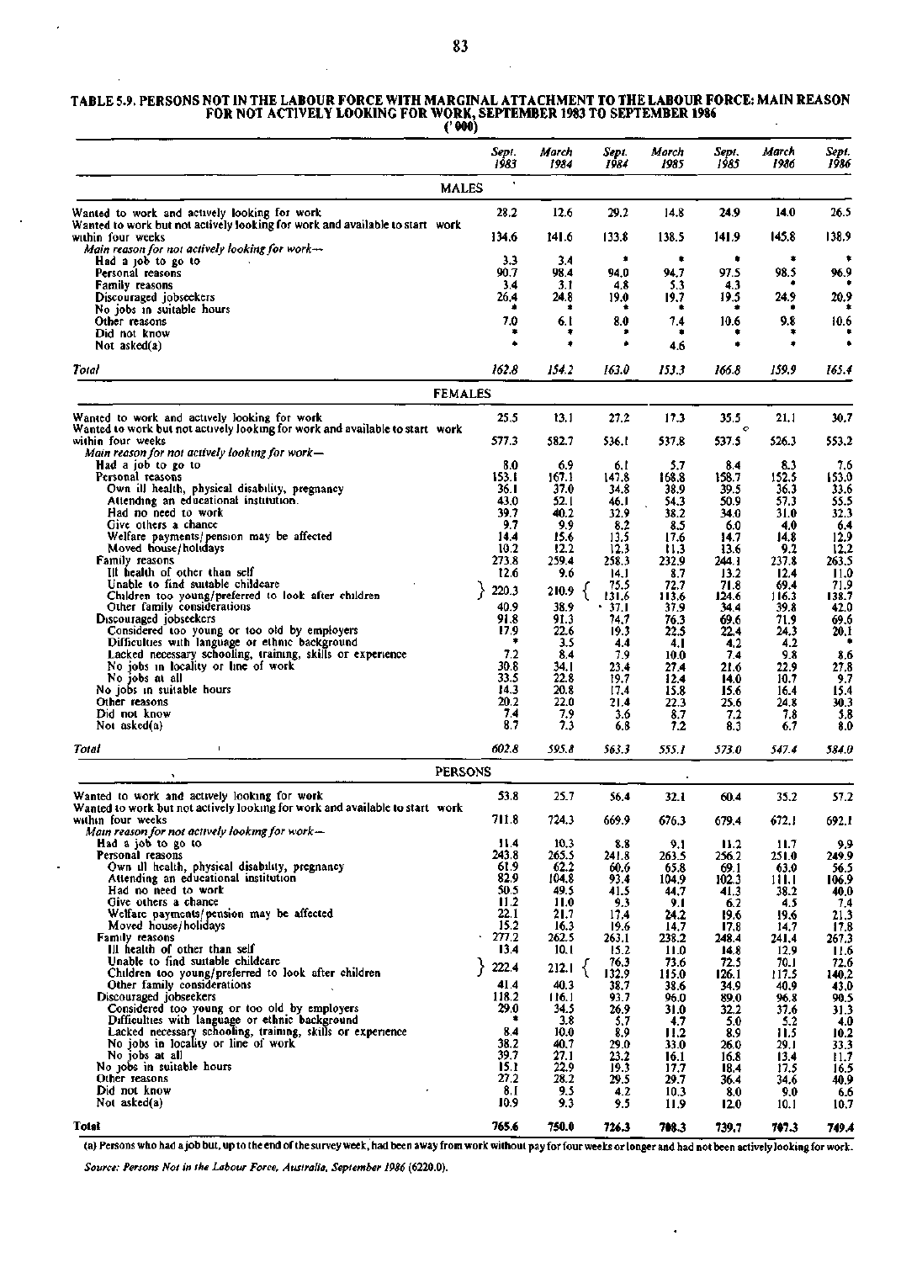### **TABLE 5.9. PERSONS NOT IN THE LABOUR FORCE WITH MARGINAL ATTACHMENT TO THE LABOUR FORCE: MAIN REASON FOR NOT ACTIVELY LOOKING FOR WORK, SEPTEMBER 1983 TO SEPTEMBER 1986**

|                                                                                                                                                            | Sept.<br>1983  | March<br>1984 | Sept.<br>1984    | March<br>1985 | Sept.<br>1985  | March<br>1986  | Sept.<br>1986 |
|------------------------------------------------------------------------------------------------------------------------------------------------------------|----------------|---------------|------------------|---------------|----------------|----------------|---------------|
|                                                                                                                                                            | <b>MALES</b>   |               |                  |               |                |                |               |
| Wanted to work and actively looking for work                                                                                                               | 28.2           | 12.6          | 29.2             | 14.8          | 24.9           | 14.0           | 26.5          |
| Wanted to work but not actively looking for work and available to start work<br>within four weeks<br>Main reason for not actively looking for work- $\sim$ | 134.6          | 141.6         | 133.8            | 138.5         | 141.9          | 145.8          | 138.9         |
| Had a job to go to                                                                                                                                         | 3.3            | 3.4           | ۰                | ۰             | ۰              |                |               |
| Personal reasons<br><b>Family reasons</b>                                                                                                                  | 90.7<br>3.4    | 98.4<br>3.1   | 94.0<br>4,8      | 94.7<br>5.3   | 97.5<br>4.3    | 98.5           | 96.9          |
| Discouraged jobseekers                                                                                                                                     | 26.4           | 24.8<br>٠     | 19.0             | 19.7          | 19.5           | 24.9           | 20.9          |
| No jobs in suitable hours<br>Other reasons                                                                                                                 | 7.0            | 6.1           | 8.0              | 7.4           | 10.6           | 9.8            | 10.6          |
| Did not know<br>Not asked(a)                                                                                                                               |                | ۰             |                  | ٠<br>4.6      | ۰              | ۰              |               |
| Total                                                                                                                                                      | 162.8          | 154.2         | 163.0            | 153.3         | 166.8          | 159.9          | 165.4         |
|                                                                                                                                                            | <b>FEMALES</b> |               |                  |               |                |                |               |
| Wanted to work and actively looking for work                                                                                                               | 25.5           | 13.1          | 27.2             | 17.3          | 35.5           | 21.1           | 30.7          |
| Wanted to work but not actively looking for work and available to start work<br>within four weeks                                                          | 577.3          | 582.7         | 536.I            | 537.8         | o<br>537.5     | 526.3          | 553.2         |
| Main reason for not actively looking for work—<br>Had a job to go to                                                                                       | 8.0            | 6.9           |                  | 5.7           | 8.4            | 8.3            | 7,6           |
| Personal reasons                                                                                                                                           | 153.I          | 167.1         | 6.I<br>147.8     | 168.8         | 158.7          | 152.5          | 153.0         |
| Own ill health, physical disability, pregnancy                                                                                                             | 36.I           | 37.0          | 34.8             | 38.9          | 39.5           | 36.3           | 33.6          |
| Attending an educational institution.<br>Had no need to work                                                                                               | 43.0<br>39.7   | 52.1<br>40.2  | 46.I<br>32.9     | 54.3<br>38.2  | 50.9<br>34.0   | 57.3<br>31.0   | 55.5<br>32.3  |
| Give others a chance                                                                                                                                       | 9.7            | 9.9           | 8.2              | 8.5           | 6.0            | 4.0            | 6,4           |
| Welfare payments/pension may be affected                                                                                                                   | 14.4           | 15.6          | 13.5             | 17.6          | 14.7           | 14.8           | 12.9          |
| Moved house/holidays<br>Family reasons                                                                                                                     | 10.2<br>273.8  | 12.2<br>259.4 | 12.3<br>258.3    | Ħ.3           | 13.6           | 9.2<br>237.8   | 12.2<br>263.5 |
| Ill health of other than self                                                                                                                              | 12.6           | 9.6           | 14.1             | 232.9<br>8.7  | 244. I<br>13.2 | 12.4           | 11.0          |
| Unable to find suitable childcare                                                                                                                          | 220.3          | 210.9         | 75.5             | 72.7          | 71.8           | 69.4           | 71.9          |
| Children too young/preferred to look after children<br>Other family considerations                                                                         | 40.9           | 38.9          | 131.6<br>$+37.1$ | 113.6<br>37.9 | 124.6<br>34,4  | 116.3<br>39.8  | 138.7<br>42.0 |
| Discouraged jobseekers                                                                                                                                     | 91.8           | 91.3          | 74,7             | 76.3          | 69.6           | 71.9           | 69.6          |
| Considered too young or too old by employers                                                                                                               | 17.9           | 22.6          | 19.3             | 22.5          | 22.4           | 24.3           | 20.1          |
| Difficulties with language or ethnic background<br>Lacked necessary schooling, training, skills or experience                                              | ۰<br>7.2       | 3.5<br>8.4    | 4.4<br>7.9       | 4. I          | 4.2            | 4.2<br>9.8     |               |
| No jobs in locality or line of work                                                                                                                        | 30.8           | 34.I          | 23.4             | 10.0<br>27.4  | 7.4<br>21.6    | 22.9           | 8.6<br>27,8   |
| No jobs at all                                                                                                                                             | 33.5           | 22.8          | 19.7             | 12.4          | 14.0           | 10.7           | 9.7           |
| No jobs in suitable hours<br>Other reasons                                                                                                                 | 14.3<br>20.2   | 20.8          | 17.4             | 15.8          | 15.6           | 16.4           | 15.4          |
| Did not know                                                                                                                                               | 7.4            | 22.0<br>7.9   | 21.4<br>3.6      | 22.3<br>8.7   | 25.6<br>7.2    | 24.8<br>7.8    | 30.3<br>5.8   |
| Not asked(a)                                                                                                                                               | 8.7            | 7.3           | 6.8              | 7.2           | 8.3            | 6.7            | 8.0           |
| Total<br>$\mathbf I$<br><u> 1989 - Johann Barn, amerikansk politiker (</u>                                                                                 | 602.8          | 595.8         | 563.3            | 555.1         | 573.0          | 547.4          | 584.0         |
| $\mathbf{v}$                                                                                                                                               | <b>PERSONS</b> |               |                  |               |                |                |               |
| Wanted to work and actively looking for work<br>Wanted to work but not actively looking for work and available to start work                               | 53.8           | 25.7          | 56.4             | 32.1          | 60.4           | 35.2           | 57.2          |
| within four weeks<br>Main reason for not actively looking for work—                                                                                        | 711.8          | 724.3         | 669.9            | 676.3         | 679.4          | 672.1          | 692.1         |
| Had a job to go to                                                                                                                                         | 11.4           | 10.3          | 8.8              | 9.1           | 11.2           | 11.7           | 9.9           |
| Personal reasons                                                                                                                                           | 243.8          | 265.5         | 241.8            | 263.5         | 256.2          | 251.0          | 249.9         |
| Own ill health, physical disability, pregnancy<br>Attending an educational institution                                                                     | 61.9<br>82.9   | 62.2<br>104.8 | 60.6<br>93.4     | 65.8<br>104.9 | 69.1<br>102.3  | 63.0<br>11 I.I | 56.5<br>106.9 |
| Had no need to work                                                                                                                                        | 50.5           | 49.5          | 41.5             | 44,7          | 41.3           | 38.2           | 40.0          |
| Give others a chance                                                                                                                                       | 11.2           | 11.0          | 9.3              | 9.1           | 6.2            | 4.5            | 7,4           |
| Welfare payments/pension may be affected<br>Moved house/holidays                                                                                           | 22.1<br>15.2   | 21.7<br>16.3  | 17.4<br>19.6     | 24.2<br>14.7  | 19.6<br>17.8   | 19.6<br>14.7   | 21,3<br>17.8  |
| Family reasons                                                                                                                                             | 277.2          | 262.5         | 263.1            | 238.2         | 248.4          | 241.4          | 267.3         |
| Ill health of other than self                                                                                                                              | 13.4           | 10.1          | 15.2             | 11.0          | 14,8           | 12.9           | 11.6          |
| Unable to find suitable childcare<br>Children too young/preferred to look after children                                                                   | 222.4          | 212.1         | 76.3<br>132.9    | 73.6<br>115.0 | 72.5<br>126.1  | 70.I<br>117.5  | 72.6<br>140.2 |
| Other family considerations                                                                                                                                | 41.4           | 40.3          | 38.7             | 38.6          | 34.9           | 40.9           | 43.0          |
| Discouraged jobseekers                                                                                                                                     | 118.2          | 116.1         | 93.7             | 96.0          | 89.0           | 96.8           | 90.5          |
| Considered too young or too old by employers<br>Difficulties with language or ethnic background                                                            | 29.0           | 34.5<br>3.8   | 26.9<br>5.7      | 31.0<br>4.7   | 32,2<br>5.0    | 37,6<br>5.2    | 31.3<br>4.0   |
| Lacked necessary schooling, training, skills or experience                                                                                                 | 8.4            | 10.0          | 8.9              | 11.2          | 8.9            | 11.5           | 10.2          |
| No jobs in locality or line of work                                                                                                                        | 38.2           | 40.7          | 29.0             | 33.0          | 26.0           | 29.I           | 33.3          |
| No jobs at all<br>No jobs in suitable hours                                                                                                                | 39.7<br>15.1   | 27.1<br>22.9  | 23.2<br>19.3     | 16.1<br>17,7  | 16.8           | 13.4           | 11.7<br>16.5  |
| Other reasons                                                                                                                                              | 27.2           | 28.2          | 29.5             | 29.7          | 18.4<br>36.4   | 17.5<br>34.6   | 40.9          |
| Did not know                                                                                                                                               | 8. I           | 9.5           | 4.2              | 10.3          | 8.0            | 9.0            | 6.6           |
| Not asked(a)                                                                                                                                               | 10.9           | 9.3           | 9.5              | 11.9          | 12.0           | 10.1           | 10.7          |
| Total                                                                                                                                                      | 765.6          | 750.0         | 726.3            | 708.3         | 739.7          | 707.3          | 749.4         |

(a) Persons who had ajob but, up to the end of the survey week, had been away from work without pay for four weeks or longer and had not been actively looking for work.

 $\ddot{\phantom{0}}$ 

*Source: Persons Not in the Labour Force, Australia, September 1986* (6220.0).

 $\bar{\mathcal{L}}$ 

 $\bar{z}$